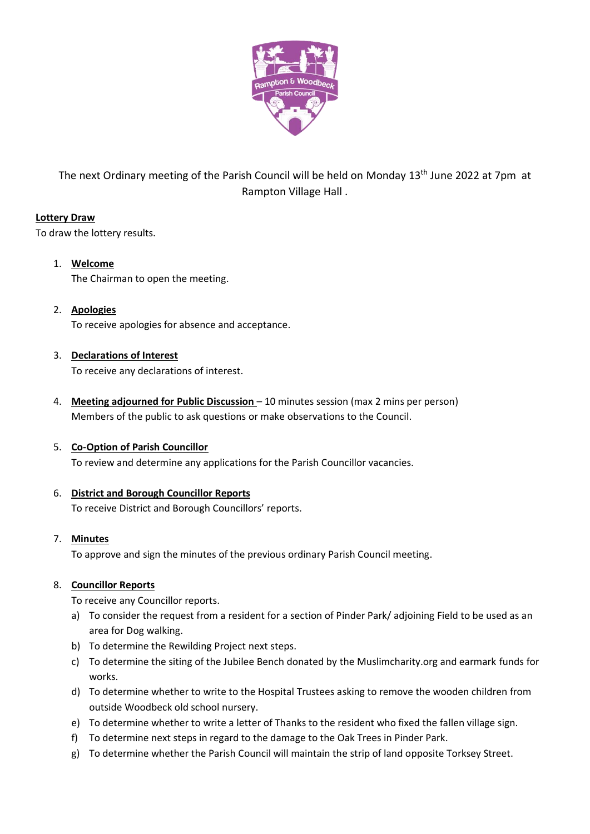

The next Ordinary meeting of the Parish Council will be held on Monday 13<sup>th</sup> June 2022 at 7pm at Rampton Village Hall .

# **Lottery Draw**

To draw the lottery results.

- 1. **Welcome** The Chairman to open the meeting.
- 2. **Apologies** To receive apologies for absence and acceptance.
- 3. **Declarations of Interest**

To receive any declarations of interest.

4. **Meeting adjourned for Public Discussion** – 10 minutes session (max 2 mins per person) Members of the public to ask questions or make observations to the Council.

# 5. **Co-Option of Parish Councillor**

To review and determine any applications for the Parish Councillor vacancies.

# 6. **District and Borough Councillor Reports**

To receive District and Borough Councillors' reports.

## 7. **Minutes**

To approve and sign the minutes of the previous ordinary Parish Council meeting.

## 8. **Councillor Reports**

To receive any Councillor reports.

- a) To consider the request from a resident for a section of Pinder Park/ adjoining Field to be used as an area for Dog walking.
- b) To determine the Rewilding Project next steps.
- c) To determine the siting of the Jubilee Bench donated by the Muslimcharity.org and earmark funds for works.
- d) To determine whether to write to the Hospital Trustees asking to remove the wooden children from outside Woodbeck old school nursery.
- e) To determine whether to write a letter of Thanks to the resident who fixed the fallen village sign.
- f) To determine next steps in regard to the damage to the Oak Trees in Pinder Park.
- g) To determine whether the Parish Council will maintain the strip of land opposite Torksey Street.